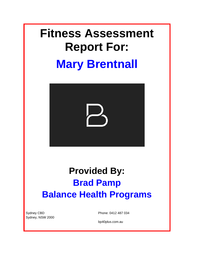# **Fitness Assessment Report For: Mary Brentnall**



# **Provided By: Brad Pamp Balance Health Programs**

Sydney CBD Sydney, NSW 2000 Phone: 0412 487 034

bp40plus.com.au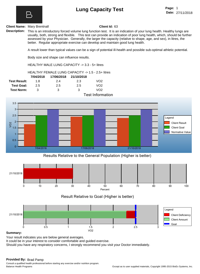# **Lung Capacity Test**



**Client Name:** Mary Brentnall **Client Id:** 63

**Description:** This is an introductory forced volume lung function test. It is an indication of your lung health. Healthy lungs are usually, both, strong and flexible. This test can provide an indication of poor lung health, which, should be further assessed by your Physician. Generally, the larger the capacity (relative to shape, age, and sex), in litres, the better. Regular appropriate exercise can develop and maintain good lung health.

A result lower than typical values can be a sign of potential ill-health and possible sub-optimal athletic potential.

Body size and shape can influence results.

HEALTHY MALE LUNG CAPACITY -> 3.3 - 5+ litres

#### HEALTHY FEMALE LUNG CAPACITY -> 1.5 - 2.5+ litres

|                     | 7/04/2018 | 17/06/2018 | 21/10/2018 |                         |
|---------------------|-----------|------------|------------|-------------------------|
| <b>Test Result:</b> | 18        | 2.4        | 2.3        | VO <sub>2</sub>         |
| <b>Test Goal:</b>   | 25        | 2.5        | 2.5        | VO <sub>2</sub>         |
| <b>Test Norm:</b>   | ્ર        | 3          | 3          | VO2                     |
|                     |           |            |            | <b>Test Information</b> |



### **Results Relative to the General Population (Higher is better)**



### **Result Relative to Goal (Higher is better)**



#### **Summary:**

Your result indicates you are below general averages.

It could be in your interest to consider comfortable and guided exercise.

Should you have any respiratory concerns, I strongly recommend you visit your Doctor immediately.

### **Provided By:** Brad Pamp

Consult a qualified health professional before starting any exercise and/or nutrition program. Balance Health Programs Except as to user supplied materials, Copyright 1995-2015 BioEx Systems, Inc.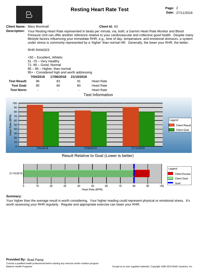

## **Resting Heart Rate Test**

#### **Client Name:** Mary Brentnall **Client Id:** 63

**Description:** Your Resting Heart Rate represented in beats per minute, via, both; a Garmin Heart Rate Monitor and Blood Pressure Unit can offer another reference relative to your cardiovascular and collective good health. Despite many lifestyle factors influencing your immediate RHR, e.g., time of day, temperature, and emotional stressors, a system under stress is commonly represented by a 'higher' than normal HR. Generally, the lower your RHR, the better.

#### RHR RANGES

<50 – Excellent, Athletic 51 -70 – Very Healthy 71- 85 – Good, Normal 85 – 95 – Higher, than normal 95+ - Considered high and worth addressing **7/04/2018 17/06/2018 21/10/2018**

|                     |        |    |    | Taat lafarmatii   |
|---------------------|--------|----|----|-------------------|
| <b>Test Norm:</b>   | $\sim$ | -  | -  | <b>Heart Rate</b> |
| <b>Test Goal:</b>   | 80.    | 80 | 80 | <b>Heart Rate</b> |
| <b>Test Result:</b> | 96.    | 83 | 91 | <b>Heart Rate</b> |
|                     |        |    |    |                   |

#### **Test Information**



#### **Result Relative to Goal (Lower is better)**



#### **Summary:**

Your higher than the average result is worth considering. Your higher reading could represent physical or emotional stress. It's worth assessing your RHR regularly. Regular and appropriate exercise can lower your RHR.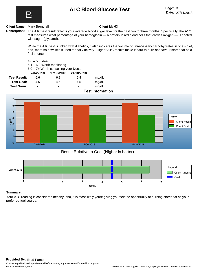

## **A1C Blood Glucose Test**

#### **Client Name:** Mary Brentnall **Client Id:** 63

**Description:** The A1C test result reflects your average blood sugar level for the past two to three months. Specifically, the A1C test measures what percentage of your hemoglobin — a protein in red blood cells that carries oxygen — is coated with sugar (glycated).

> While the A1C test is linked with diabetics, it also indicates the volume of unnecessary carbohydrates in one's diet, and, more so how little it used for daily activity. Higher A1C results make it hard to burn and favour stored fat as a fuel source.

| $4.0 - 5.0$ Ideal |                                           |
|-------------------|-------------------------------------------|
|                   | $F_1 \subseteq F_2 \cap M_2$ orth monitor |

5.1 – 6.0 Worth monitoring

6.0 – 7+ Worth consulting your Doctor

|                     | 7/04/2018 | 17/06/2018               | 21/10/2018     |       |
|---------------------|-----------|--------------------------|----------------|-------|
| <b>Test Result:</b> | 6.6       | 6.1                      | 6.4            | mq/dL |
| <b>Test Goal:</b>   | 4.5       | 4.5                      | 4.5            | mg/dL |
| Test Norm:          | -         | $\overline{\phantom{a}}$ | $\blacksquare$ | mg/dL |

**Test Information**



### **Result Relative to Goal (Higher is better)**



#### **Summary:**

Your A1C reading is considered healthy, and, it is most likely youre giving yourself the opportunity of burning stored fat as your preferred fuel source.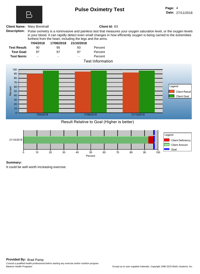# **Pulse Oximetry Test**

#### **Client Name:** Mary Brentnall **Client Id:** 63

**Description:** Pulse oximetry is a noninvasive and painless test that measures your oxygen saturation level, or the oxygen levels in your blood. It can rapidly detect even small changes in how efficiently oxygen is being carried to the extremities furthest from the heart, including the legs and the arms.



**Result Relative to Goal (Higher is better)**



#### **Summary:**

It could be well worth increasing exercise.